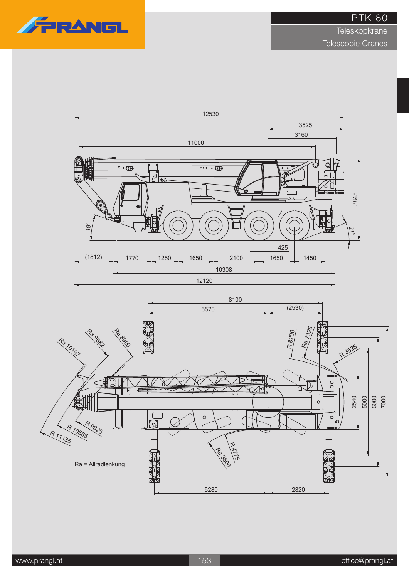

**Teleskopkrane** 



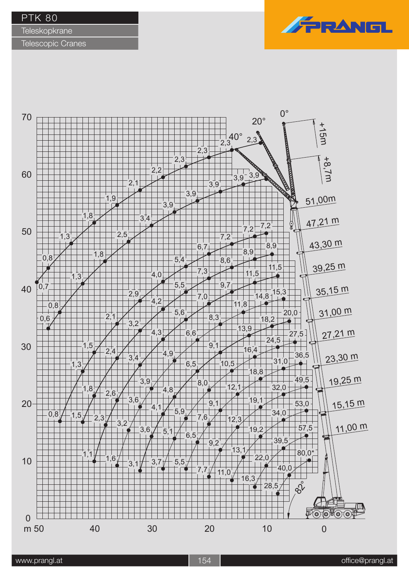**Teleskopkrane** 

Telescopic Cranes



FRANE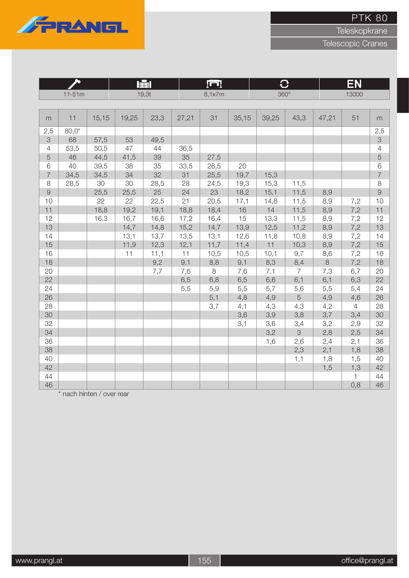

Teleskopkrane

Telescopic Cranes

|                |          |       |       | 屋     | k or  |         |       |             |                | EN      |                |                |
|----------------|----------|-------|-------|-------|-------|---------|-------|-------------|----------------|---------|----------------|----------------|
|                | $11-51m$ |       |       | 19,3t |       | 8,1x7m  |       | $360^\circ$ |                |         | 13000          |                |
|                |          |       |       |       |       |         |       |             |                |         |                |                |
| m              | 11       | 15,15 | 19,25 | 23,3  | 27,21 | 31      | 35,15 | 39,25       | 43,3           | 47,21   | 51             | m              |
| 2,5            | $80,0*$  |       |       |       |       |         |       |             |                |         |                | 2,5            |
| 3              | 68       | 57,5  | 53    | 49,5  |       |         |       |             |                |         |                | 3              |
| $\overline{4}$ | 53,5     | 50,5  | 47    | 44    | 36,5  |         |       |             |                |         |                | $\sqrt{4}$     |
| $\overline{5}$ | 46       | 44,5  | 41,5  | 39    | 35    | 27,5    |       |             |                |         |                | $\overline{5}$ |
| $\,6$          | 40       | 39,5  | 38    | 35    | 33,5  | 26,5    | 20    |             |                |         |                | $\,$ 6 $\,$    |
| $\overline{7}$ | 34,5     | 34,5  | 34    | 32    | 31    | 25,5    | 19,7  | 15,3        |                |         |                | $\overline{7}$ |
| $\,8\,$        | 28,5     | 30    | 30    | 28,5  | 28    | 24,5    | 19,3  | 15,3        | 11,5           |         |                | $\,8\,$        |
| $\overline{9}$ |          | 25,5  | 25,5  | 25    | 24    | 23      | 18,2  | 15,1        | 11,5           | 8,9     |                | $\overline{9}$ |
| 10             |          | 22    | 22    | 22,5  | 21    | 20,5    | 17,1  | 14,8        | 11,5           | 8,9     | 7,2            | 10             |
| 11             |          | 18,8  | 19,2  | 19,1  | 18,8  | 18,4    | 16    | 14          | 11,5           | 8,9     | 7,2            | 11             |
| 12             |          | 16,3  | 16,7  | 16,6  | 17,2  | 16,4    | 15    | 13,3        | 11,5           | 8,9     | 7,2            | 12             |
| 13             |          |       | 14,7  | 14,8  | 15,2  | 14,7    | 13,9  | 12,5        | 11,2           | 8,9     | 7,2            | 13             |
| 14             |          |       | 13,1  | 13,7  | 13,5  | 13,1    | 12,6  | 11,8        | 10,8           | 8,9     | 7,2            | 14             |
| 15             |          |       | 11,9  | 12,3  | 12,1  | 11,7    | 11,4  | 11          | 10,3           | 8,9     | 7,2            | 15             |
| 16             |          |       | 11    | 11,1  | 11    | 10,5    | 10,5  | 10,1        | 9,7            | 8,6     | 7,2            | 16             |
| 18             |          |       |       | 9,2   | 9,1   | 8,8     | 9,1   | 8,3         | 8,4            | $\,8\,$ | 7,2            | 18             |
| 20             |          |       |       | 7,7   | 7,6   | $\,8\,$ | 7,6   | 7,1         | $\overline{7}$ | 7,3     | 6,7            | 20             |
| 22             |          |       |       |       | 6,5   | 6,8     | 6,5   | 6,6         | 6,1            | 6,1     | 6,3            | 22             |
| 24             |          |       |       |       | 5,5   | 5,9     | 5,5   | 5,7         | 5,6            | 5,5     | 5,4            | 24             |
| 26             |          |       |       |       |       | 5,1     | 4,8   | 4,9         | 5              | 4,9     | 4,6            | 26             |
| 28             |          |       |       |       |       | 3,7     | 4,1   | 4,3         | 4,3            | 4,2     | $\overline{4}$ | 28             |
| 30             |          |       |       |       |       |         | 3,6   | 3,9         | 3,8            | 3,7     | 3,4            | 30             |
| 32             |          |       |       |       |       |         | 3,1   | 3,6         | 3,4            | 3,2     | 2,9            | 32             |
| 34             |          |       |       |       |       |         |       | 3,2         | 3              | 2,8     | 2,5            | 34             |
| 36             |          |       |       |       |       |         |       | 1,6         | 2,6            | 2,4     | 2,1            | 36             |
| 38             |          |       |       |       |       |         |       |             | 2,3            | 2,1     | 1,8            | 38             |
| 40             |          |       |       |       |       |         |       |             | 1,1            | 1,8     | 1,5            | 40             |
| 42             |          |       |       |       |       |         |       |             |                | 1,5     | 1,3            | 42             |
| 44             |          |       |       |       |       |         |       |             |                |         | $\mathbf{1}$   | 44             |
| 46             |          |       |       |       |       |         |       |             |                |         | 0,8            | 46             |

\* nach hinten / over rear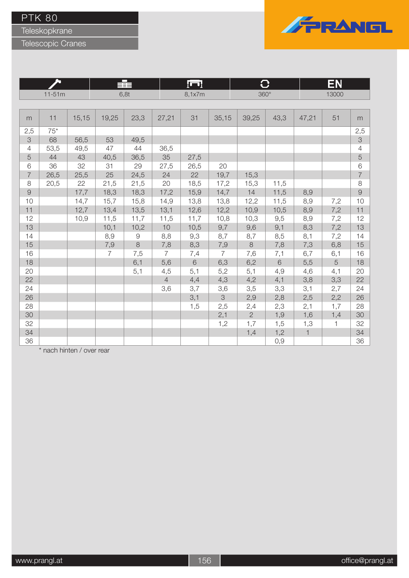Teleskopkrane

Telescopic Cranes



|                |          |       |                | ≢          | ĮП             |        | O              |                | EN    |              |       |                |
|----------------|----------|-------|----------------|------------|----------------|--------|----------------|----------------|-------|--------------|-------|----------------|
|                | $11-51m$ |       |                | 6,8t       |                | 8,1x7m |                | $360^\circ$    |       |              | 13000 |                |
|                |          |       |                |            |                |        |                |                |       |              |       |                |
| m              | 11       | 15,15 | 19,25          | 23,3       | 27,21          | 31     | 35,15          | 39,25          | 43,3  | 47,21        | 51    | m              |
| 2,5            | $75*$    |       |                |            |                |        |                |                |       |              |       | 2,5            |
| 3              | 68       | 56,5  | 53             | 49,5       |                |        |                |                |       |              |       | $\mathcal{S}$  |
| $\overline{4}$ | 53,5     | 49,5  | 47             | 44         | 36,5           |        |                |                |       |              |       | 4              |
| $\sqrt{5}$     | 44       | 43    | 40,5           | 36,5       | 35             | 27,5   |                |                |       |              |       | $\overline{5}$ |
| 6              | 36       | 32    | 31             | 29         | 27,5           | 26,5   | 20             |                |       |              |       | $\,$ 6 $\,$    |
| $\overline{7}$ | 26,5     | 25,5  | 25             | 24,5       | 24             | 22     | 19,7           | 15,3           |       |              |       | $\overline{7}$ |
| 8              | 20,5     | 22    | 21,5           | 21,5       | 20             | 18,5   | 17,2           | 15,3           | 11,5  |              |       | $\,8\,$        |
| $\Theta$       |          | 17,7  | 18,3           | 18,3       | 17,2           | 15,9   | 14,7           | 14             | 11,5  | 8,9          |       | $\overline{9}$ |
| 10             |          | 14,7  | 15,7           | 15,8       | 14,9           | 13,8   | 13,8           | 12,2           | 11,5  | 8,9          | 7,2   | 10             |
| 11             |          | 12,7  | 13,4           | 13,5       | 13,1           | 12,6   | 12,2           | 10,9           | 10,5  | 8,9          | 7,2   | 11             |
| 12             |          | 10,9  | 11,5           | 11,7       | 11,5           | 11,7   | 10,8           | 10,3           | 9,5   | 8,9          | 7,2   | 12             |
| 13             |          |       | 10,1           | 10,2       | 10             | 10,5   | 9,7            | 9,6            | 9,1   | 8,3          | 7,2   | 13             |
| 14             |          |       | 8,9            | $\hbox{9}$ | 8,8            | 9,3    | 8,7            | 8,7            | 8,5   | 8,1          | 7,2   | 14             |
| 15             |          |       | 7,9            | $\,8\,$    | 7,8            | 8,3    | 7,9            | $\,8\,$        | 7,8   | 7,3          | 6,8   | 15             |
| 16             |          |       | $\overline{7}$ | 7,5        | $\overline{7}$ | 7,4    | $\overline{7}$ | 7,6            | 7,1   | 6,7          | 6,1   | 16             |
| 18             |          |       |                | 6,1        | 5,6            | $6\,$  | 6,3            | 6,2            | $6\,$ | 5,5          | 5     | 18             |
| 20             |          |       |                | 5,1        | 4,5            | 5,1    | 5,2            | 5,1            | 4,9   | 4,6          | 4,1   | 20             |
| 22             |          |       |                |            | $\overline{4}$ | 4,4    | 4,3            | 4,2            | 4,1   | 3,8          | 3,3   | 22             |
| 24             |          |       |                |            | 3,6            | 3,7    | 3,6            | 3,5            | 3,3   | 3,1          | 2,7   | 24             |
| 26             |          |       |                |            |                | 3,1    | 3              | 2,9            | 2,8   | 2,5          | 2,2   | 26             |
| 28             |          |       |                |            |                | 1,5    | 2,5            | 2,4            | 2,3   | 2,1          | 1,7   | 28             |
| 30             |          |       |                |            |                |        | 2,1            | $\overline{2}$ | 1,9   | 1,6          | 1,4   | 30             |
| 32             |          |       |                |            |                |        | 1,2            | 1,7            | 1,5   | 1,3          | 1     | 32             |
| 34             |          |       |                |            |                |        |                | 1,4            | 1,2   | $\mathbf{1}$ |       | 34             |
| 36             |          |       |                |            |                |        |                |                | 0,9   |              |       | 36             |

\* nach hinten / over rear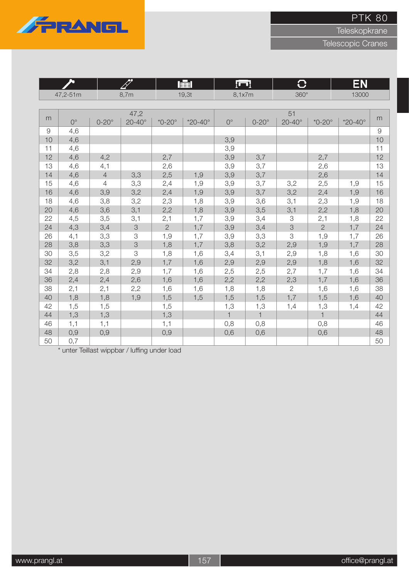

**Teleskopkrane** 

Telescopic Cranes

|    |             |                | RT                        |                | 肁l                 | l Gull       |              | $\overline{C}$  |                | EN                 |                |
|----|-------------|----------------|---------------------------|----------------|--------------------|--------------|--------------|-----------------|----------------|--------------------|----------------|
|    | 47,2-51m    |                | 8,7m                      |                | 19,3t              | 8,1x7m       |              | $360^\circ$     |                | 13000              |                |
|    |             |                |                           |                |                    |              |              |                 |                |                    |                |
| m  |             |                | 47,2                      |                |                    |              |              | 51              |                |                    | m              |
|    | $0^{\circ}$ | $0-20^\circ$   | $20 - 40^\circ$           | $*0-20^\circ$  | $*20 - 40^{\circ}$ | $0^{\circ}$  | $0-20^\circ$ | $20 - 40^\circ$ | $*0-20^\circ$  | $*20 - 40^{\circ}$ |                |
| 9  | 4,6         |                |                           |                |                    |              |              |                 |                |                    | $\overline{9}$ |
| 10 | 4,6         |                |                           |                |                    | 3,9          |              |                 |                |                    | 10             |
| 11 | 4,6         |                |                           |                |                    | 3,9          |              |                 |                |                    | 11             |
| 12 | 4,6         | 4,2            |                           | 2,7            |                    | 3,9          | 3,7          |                 | 2,7            |                    | 12             |
| 13 | 4,6         | 4,1            |                           | 2,6            |                    | 3,9          | 3,7          |                 | 2,6            |                    | 13             |
| 14 | 4,6         | $\overline{4}$ | 3,3                       | 2,5            | 1,9                | 3,9          | 3,7          |                 | 2,6            |                    | 14             |
| 15 | 4,6         | $\overline{4}$ | 3,3                       | 2,4            | 1,9                | 3,9          | 3,7          | 3,2             | 2,5            | 1,9                | 15             |
| 16 | 4,6         | 3,9            | 3,2                       | 2,4            | 1,9                | 3,9          | 3,7          | 3,2             | 2,4            | 1,9                | 16             |
| 18 | 4,6         | 3,8            | 3,2                       | 2,3            | 1,8                | 3,9          | 3,6          | 3,1             | 2,3            | 1,9                | 18             |
| 20 | 4,6         | 3,6            | 3,1                       | 2,2            | 1,8                | 3,9          | 3,5          | 3,1             | 2,2            | 1,8                | 20             |
| 22 | 4,5         | 3,5            | 3,1                       | 2,1            | 1,7                | 3,9          | 3,4          | 3               | 2,1            | 1,8                | 22             |
| 24 | 4,3         | 3,4            | $\ensuremath{\mathsf{3}}$ | $\overline{2}$ | 1,7                | 3,9          | 3,4          | $\mbox{3}$      | $\overline{2}$ | 1,7                | 24             |
| 26 | 4,1         | 3,3            | 3                         | 1,9            | 1,7                | 3,9          | 3,3          | 3               | 1,9            | 1,7                | 26             |
| 28 | 3,8         | 3,3            | $\mbox{3}$                | 1,8            | 1,7                | 3,8          | 3,2          | 2,9             | 1,9            | 1,7                | 28             |
| 30 | 3,5         | 3,2            | 3                         | 1,8            | 1,6                | 3,4          | 3,1          | 2,9             | 1,8            | 1,6                | 30             |
| 32 | 3,2         | 3,1            | 2,9                       | 1,7            | 1,6                | 2,9          | 2,9          | 2,9             | 1,8            | 1,6                | 32             |
| 34 | 2,8         | 2,8            | 2,9                       | 1,7            | 1,6                | 2,5          | 2,5          | 2,7             | 1,7            | 1,6                | 34             |
| 36 | 2,4         | 2,4            | 2,6                       | 1,6            | 1,6                | 2,2          | 2,2          | 2,3             | 1,7            | 1,6                | 36             |
| 38 | 2,1         | 2,1            | 2,2                       | 1,6            | 1,6                | 1,8          | 1,8          | $\overline{2}$  | 1,6            | 1,6                | 38             |
| 40 | 1,8         | 1,8            | 1,9                       | 1,5            | 1,5                | 1,5          | 1,5          | 1,7             | 1,5            | 1,6                | 40             |
| 42 | 1,5         | 1,5            |                           | 1,5            |                    | 1,3          | 1,3          | 1,4             | 1,3            | 1,4                | 42             |
| 44 | 1,3         | 1,3            |                           | 1,3            |                    | $\mathbf{1}$ | $\mathbf{1}$ |                 | $\mathbf{1}$   |                    | 44             |
| 46 | 1,1         | 1,1            |                           | 1,1            |                    | 0,8          | 0,8          |                 | 0,8            |                    | 46             |
| 48 | 0,9         | 0,9            |                           | 0,9            |                    | 0,6          | 0,6          |                 | 0,6            |                    | 48             |
| 50 | 0,7         |                |                           |                |                    |              |              |                 |                |                    | 50             |

\* unter Teillast wippbar / luffing under load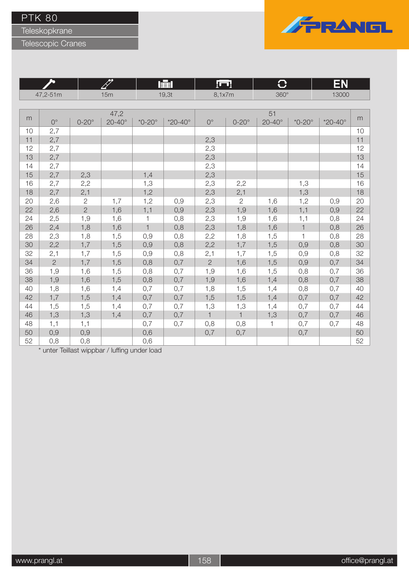**Teleskopkrane** 

Telescopic Cranes



|    |                |                |                 | 圉             |                    | <u>lu i</u>  |              | ₩               |               | EN                 |    |
|----|----------------|----------------|-----------------|---------------|--------------------|--------------|--------------|-----------------|---------------|--------------------|----|
|    | 47,2-51m       |                | 15m             |               | 19,3t              | 8,1x7m       |              | $360^\circ$     |               | 13000              |    |
|    |                |                |                 |               |                    |              |              |                 |               |                    |    |
|    |                |                | 47,2            |               |                    |              |              | 51              |               |                    |    |
| m  | $0^{\circ}$    | $0-20^\circ$   | $20 - 40^\circ$ | $*0-20^\circ$ | $*20 - 40^{\circ}$ | $0^{\circ}$  | $0-20^\circ$ | $20 - 40^\circ$ | $*0-20^\circ$ | $*20 - 40^{\circ}$ | m  |
| 10 | 2,7            |                |                 |               |                    |              |              |                 |               |                    | 10 |
| 11 | 2,7            |                |                 |               |                    | 2,3          |              |                 |               |                    | 11 |
| 12 | 2,7            |                |                 |               |                    | 2,3          |              |                 |               |                    | 12 |
| 13 | 2,7            |                |                 |               |                    | 2,3          |              |                 |               |                    | 13 |
| 14 | 2,7            |                |                 |               |                    | 2,3          |              |                 |               |                    | 14 |
| 15 | 2,7            | 2,3            |                 | 1,4           |                    | 2,3          |              |                 |               |                    | 15 |
| 16 | 2,7            | 2,2            |                 | 1,3           |                    | 2,3          | 2,2          |                 | 1,3           |                    | 16 |
| 18 | 2,7            | 2,1            |                 | 1,2           |                    | 2,3          | 2,1          |                 | 1,3           |                    | 18 |
| 20 | 2,6            | $\mathbf{2}$   | 1,7             | 1,2           | 0,9                | 2,3          | $\sqrt{2}$   | 1,6             | 1,2           | 0,9                | 20 |
| 22 | 2,6            | $\overline{2}$ | 1,6             | 1,1           | 0,9                | 2,3          | 1,9          | 1,6             | 1,1           | 0,9                | 22 |
| 24 | 2,5            | 1,9            | 1,6             | 1             | 0,8                | 2,3          | 1,9          | 1,6             | 1,1           | 0,8                | 24 |
| 26 | 2,4            | 1,8            | 1,6             | $\mathbf{1}$  | 0,8                | 2,3          | 1,8          | 1,6             | $\mathbf{1}$  | 0,8                | 26 |
| 28 | 2,3            | 1,8            | 1,5             | 0,9           | 0,8                | 2,2          | 1,8          | 1,5             | $\mathbf{1}$  | 0,8                | 28 |
| 30 | 2,2            | 1,7            | 1,5             | 0,9           | 0,8                | 2,2          | 1,7          | 1,5             | 0,9           | 0,8                | 30 |
| 32 | 2,1            | 1,7            | 1,5             | 0,9           | 0,8                | 2,1          | 1,7          | 1,5             | 0,9           | 0,8                | 32 |
| 34 | $\overline{2}$ | 1,7            | 1,5             | 0,8           | 0,7                | $\mathbf{2}$ | 1,6          | 1,5             | 0,9           | 0,7                | 34 |
| 36 | 1,9            | 1,6            | 1,5             | 0,8           | 0,7                | 1,9          | 1,6          | 1,5             | 0,8           | 0,7                | 36 |
| 38 | 1,9            | 1,6            | 1,5             | 0,8           | 0,7                | 1,9          | 1,6          | 1,4             | 0,8           | 0,7                | 38 |
| 40 | 1,8            | 1,6            | 1,4             | 0,7           | 0,7                | 1,8          | 1,5          | 1,4             | 0,8           | 0,7                | 40 |
| 42 | 1,7            | 1,5            | 1,4             | 0,7           | 0,7                | 1,5          | 1,5          | 1,4             | 0,7           | 0,7                | 42 |
| 44 | 1,5            | 1,5            | 1,4             | 0,7           | 0,7                | 1,3          | 1,3          | 1,4             | 0,7           | 0,7                | 44 |
| 46 | 1,3            | 1,3            | 1,4             | 0,7           | 0,7                | $\mathbf{1}$ | $\mathbf{1}$ | 1,3             | 0,7           | 0,7                | 46 |
| 48 | 1,1            | 1,1            |                 | 0,7           | 0,7                | 0,8          | 0,8          | $\mathbf{1}$    | 0,7           | 0,7                | 48 |
| 50 | 0,9            | 0,9            |                 | 0,6           |                    | 0,7          | 0,7          |                 | 0,7           |                    | 50 |
| 52 | 0,8            | 0,8            |                 | 0,6           |                    |              |              |                 |               |                    | 52 |

\* unter Teillast wippbar / luffing under load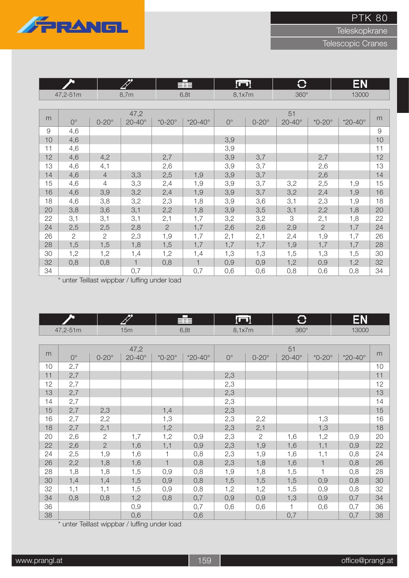

**Teleskopkrane** 

Telescopic Cranes

|               | <b>Po</b>      |                |                 | П<br>≣≣≣       |                    | luml        |              | $\bf C$         |                | EN                 |          |
|---------------|----------------|----------------|-----------------|----------------|--------------------|-------------|--------------|-----------------|----------------|--------------------|----------|
|               | 47,2-51m       |                | 8,7m            |                | 6,8t               | 8,1x7m      |              | $360^\circ$     |                | 13000              |          |
|               |                |                |                 |                |                    |             |              |                 |                |                    |          |
|               |                |                | 47,2            |                |                    |             |              | 51              |                |                    |          |
| m             | $0^{\circ}$    | $0-20^\circ$   | $20 - 40^\circ$ | $*0-20^\circ$  | $*20 - 40^{\circ}$ | $0^{\circ}$ | $0-20^\circ$ | $20 - 40^\circ$ | $*0-20^\circ$  | $*20 - 40^{\circ}$ | m        |
| $\mathcal{G}$ | 4,6            |                |                 |                |                    |             |              |                 |                |                    | $\Theta$ |
| 10            | 4,6            |                |                 |                |                    | 3,9         |              |                 |                |                    | 10       |
| 11            | 4,6            |                |                 |                |                    | 3,9         |              |                 |                |                    | 11       |
| 12            | 4,6            | 4,2            |                 | 2,7            |                    | 3,9         | 3,7          |                 | 2,7            |                    | 12       |
| 13            | 4,6            | 4,1            |                 | 2,6            |                    | 3,9         | 3,7          |                 | 2,6            |                    | 13       |
| 14            | 4,6            | $\overline{4}$ | 3,3             | 2,5            | 1,9                | 3,9         | 3,7          |                 | 2,6            |                    | 14       |
| 15            | 4,6            | 4              | 3,3             | 2,4            | 1,9                | 3,9         | 3,7          | 3,2             | 2,5            | 1,9                | 15       |
| 16            | 4,6            | 3,9            | 3,2             | 2,4            | 1,9                | 3,9         | 3,7          | 3,2             | 2,4            | 1,9                | 16       |
| 18            | 4,6            | 3,8            | 3,2             | 2,3            | 1,8                | 3,9         | 3,6          | 3,1             | 2,3            | 1,9                | 18       |
| 20            | 3,8            | 3,6            | 3,1             | 2,2            | 1,8                | 3,9         | 3,5          | 3,1             | 2,2            | 1,8                | 20       |
| 22            | 3,1            | 3,1            | 3,1             | 2,1            | 1,7                | 3,2         | 3,2          | 3               | 2,1            | 1,8                | 22       |
| 24            | 2,5            | 2,5            | 2,8             | $\overline{2}$ | 1,7                | 2,6         | 2,6          | 2,9             | $\overline{2}$ | 1,7                | 24       |
| 26            | $\overline{2}$ | $\overline{2}$ | 2,3             | 1,9            | 1,7                | 2,1         | 2,1          | 2,4             | 1,9            | 1,7                | 26       |
| 28            | 1,5            | 1,5            | 1,8             | 1,5            | 1,7                | 1,7         | 1,7          | 1,9             | 1,7            | 1,7                | 28       |
| 30            | 1,2            | 1,2            | 1,4             | 1,2            | 1,4                | 1,3         | 1,3          | 1,5             | 1,3            | 1,5                | 30       |
| 32            | 0,8            | 0,8            | $\mathbf 1$     | 0,8            | 1                  | 0,9         | 0,9          | 1,2             | 0,9            | 1,2                | 32       |
| 34            |                |                | 0,7             |                | 0,7                | 0,6         | 0,6          | 0,8             | 0,6            | 0,8                | 34       |

\* unter Teillast wippbar / luffing under load

|    | ∼           |                | FT<br>辈         |               |                    | lod         |                | $\bf C$         |                | EN                 |    |
|----|-------------|----------------|-----------------|---------------|--------------------|-------------|----------------|-----------------|----------------|--------------------|----|
|    | 47,2-51m    |                | 15m             |               | 6,8t               | 8,1x7m      |                | $360^\circ$     |                | 13000              |    |
|    |             |                |                 |               |                    |             |                |                 |                |                    |    |
| m  |             |                | 47,2            |               |                    |             |                | 51              |                |                    | m  |
|    | $0^{\circ}$ | $0-20^\circ$   | $20 - 40^\circ$ | $*0-20^\circ$ | $*20 - 40^{\circ}$ | $0^{\circ}$ | $0-20^\circ$   | $20 - 40^\circ$ | $*0-20^\circ$  | $*20 - 40^{\circ}$ |    |
| 10 | 2,7         |                |                 |               |                    |             |                |                 |                |                    | 10 |
| 11 | 2,7         |                |                 |               |                    | 2,3         |                |                 |                |                    | 11 |
| 12 | 2,7         |                |                 |               |                    | 2,3         |                |                 |                |                    | 12 |
| 13 | 2,7         |                |                 |               |                    | 2,3         |                |                 |                |                    | 13 |
| 14 | 2,7         |                |                 |               |                    | 2,3         |                |                 |                |                    | 14 |
| 15 | 2,7         | 2,3            |                 | 1,4           |                    | 2,3         |                |                 |                |                    | 15 |
| 16 | 2,7         | 2,2            |                 | 1,3           |                    | 2,3         | 2,2            |                 | 1,3            |                    | 16 |
| 18 | 2,7         | 2,1            |                 | 1,2           |                    | 2,3         | 2,1            |                 | 1,3            |                    | 18 |
| 20 | 2,6         | $\mathbf{2}$   | 1,7             | 1,2           | 0,9                | 2,3         | $\overline{2}$ | 1,6             | 1,2            | 0,9                | 20 |
| 22 | 2,6         | $\overline{2}$ | 1,6             | 1,1           | 0,9                | 2,3         | 1,9            | 1,6             | 1,1            | 0,9                | 22 |
| 24 | 2,5         | 1,9            | 1,6             | 1             | 0,8                | 2,3         | 1,9            | 1,6             | 1,1            | 0,8                | 24 |
| 26 | 2,2         | 1,8            | 1,6             | $\mathbf{1}$  | 0,8                | 2,3         | 1,8            | 1,6             | $\mathbf{1}$   | 0,8                | 26 |
| 28 | 1,8         | 1,8            | 1,5             | 0,9           | 0,8                | 1,9         | 1,8            | 1,5             | $\overline{1}$ | 0,8                | 28 |
| 30 | 1,4         | 1,4            | 1,5             | 0,9           | 0,8                | 1,5         | 1,5            | 1,5             | 0,9            | 0,8                | 30 |
| 32 | 1,1         | 1,1            | 1,5             | 0,9           | 0,8                | 1,2         | 1,2            | 1,5             | 0,9            | 0,8                | 32 |
| 34 | 0,8         | 0,8            | 1,2             | 0,8           | 0,7                | 0,9         | 0,9            | 1,3             | 0,9            | 0,7                | 34 |
| 36 |             |                | 0,9             |               | 0,7                | 0,6         | 0,6            | 1               | 0,6            | 0,7                | 36 |
| 38 |             |                | 0,6             |               | 0,6                |             |                | 0,7             |                | 0,7                | 38 |

\* unter Teillast wippbar / luffing under load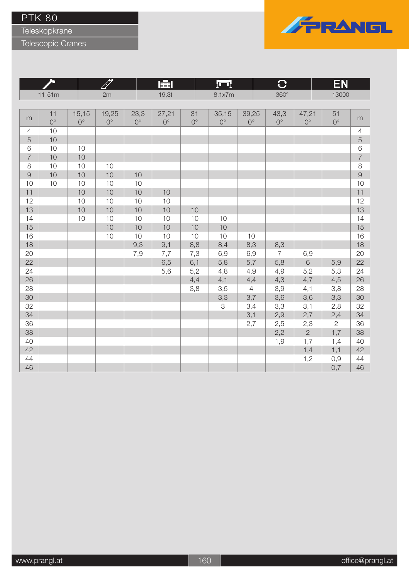Teleskopkrane



|                | hT          |             |             | 瞦           |             |             |             | $\mathbf C$           |                | EΝ                 |              |                |
|----------------|-------------|-------------|-------------|-------------|-------------|-------------|-------------|-----------------------|----------------|--------------------|--------------|----------------|
|                | $11-51m$    |             | 2m          |             | 19,3t       |             | 8,1x7m      |                       | $360^\circ$    |                    | 13000        |                |
|                |             |             |             |             |             |             |             |                       |                |                    |              |                |
| m              | 11          | 15,15       | 19,25       | 23,3        | 27,21       | 31          | 35,15       | 39,25                 | 43,3           | 47,21              | 51           |                |
|                | $0^{\circ}$ | $0^{\circ}$ | $0^{\circ}$ | $0^{\circ}$ | $0^{\circ}$ | $0^{\circ}$ | $0^{\circ}$ | $0^{\circ}$           | $0^{\circ}$    | $0^{\circ}$        | $0^{\circ}$  | m              |
| $\overline{4}$ | 10          |             |             |             |             |             |             |                       |                |                    |              | $\overline{4}$ |
| 5              | 10          |             |             |             |             |             |             |                       |                |                    |              | 5              |
| $\,$ 6 $\,$    | 10          | 10          |             |             |             |             |             |                       |                |                    |              | $\,$ 6 $\,$    |
| $\overline{7}$ | 10          | 10          |             |             |             |             |             |                       |                |                    |              | $\overline{7}$ |
| $\,8\,$        | 10          | 10          | 10          |             |             |             |             |                       |                |                    |              | $\,8\,$        |
| $\Theta$       | 10          | 10          | 10          | 10          |             |             |             |                       |                |                    |              | $\overline{9}$ |
| 10             | 10          | 10          | 10          | 10          |             |             |             |                       |                |                    |              | 10             |
| 11             |             | 10          | 10          | 10          | 10          |             |             |                       |                |                    |              | 11             |
| 12             |             | 10          | 10          | 10          | 10          |             |             |                       |                |                    |              | 12             |
| 13             |             | 10          | 10          | 10          | 10          | 10          |             |                       |                |                    |              | 13             |
| 14             |             | 10          | 10          | 10          | 10          | 10          | 10          |                       |                |                    |              | 14             |
| 15             |             |             | 10          | 10          | 10          | 10          | 10          |                       |                |                    |              | 15             |
| 16             |             |             | 10          | 10          | 10          | 10          | 10          | 10                    |                |                    |              | 16             |
| 18             |             |             |             | 9,3         | 9,1         | 8,8         | 8,4         | 8,3                   | 8,3            |                    |              | 18             |
| 20<br>22       |             |             |             | 7,9         | 7,7         | 7,3         | 6,9         | 6,9                   | $\overline{7}$ | 6,9<br>$\,$ 6 $\,$ |              | 20             |
| 24             |             |             |             |             | 6,5         | 6,1         | 5,8         | 5,7                   | 5,8            |                    | 5,9          | 22<br>24       |
| 26             |             |             |             |             | 5,6         | 5,2<br>4,4  | 4,8<br>4,1  | 4,9                   | 4,9<br>4,3     | 5,2                | 5,3<br>4,5   | 26             |
| 28             |             |             |             |             |             | 3,8         | 3,5         | 4,4<br>$\overline{4}$ | 3,9            | 4,7<br>4,1         | 3,8          | 28             |
| 30             |             |             |             |             |             |             | 3,3         | 3,7                   | 3,6            | 3,6                | 3,3          | 30             |
| 32             |             |             |             |             |             |             | 3           | 3,4                   | 3,3            | 3,1                | 2,8          | 32             |
| 34             |             |             |             |             |             |             |             | 3,1                   | 2,9            | 2,7                | 2,4          | 34             |
| 36             |             |             |             |             |             |             |             | 2,7                   | 2,5            | $2,3$              | $\mathbf{2}$ | 36             |
| 38             |             |             |             |             |             |             |             |                       | 2,2            | $\overline{2}$     | 1,7          | 38             |
| 40             |             |             |             |             |             |             |             |                       | 1,9            | 1,7                | 1,4          | 40             |
| 42             |             |             |             |             |             |             |             |                       |                | 1,4                | 1,1          | 42             |
| 44             |             |             |             |             |             |             |             |                       |                | 1,2                | 0,9          | 44             |
| 46             |             |             |             |             |             |             |             |                       |                |                    | 0,7          | 46             |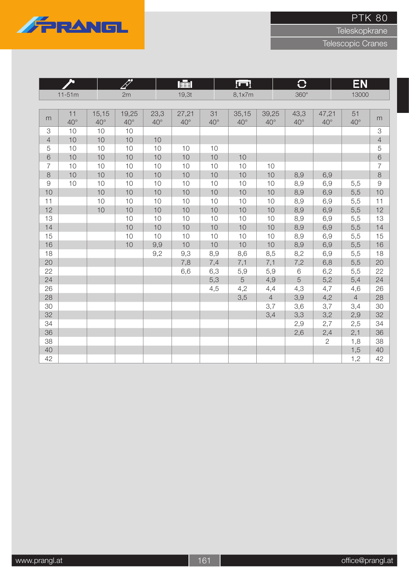

Teleskopkrane

|                |                    |                       |                       |                      | 肁                     |                    | l o                   |                       | $\overline{\textbf{C}}$ |                       | EN                 |                |
|----------------|--------------------|-----------------------|-----------------------|----------------------|-----------------------|--------------------|-----------------------|-----------------------|-------------------------|-----------------------|--------------------|----------------|
|                | $11 - 51m$         |                       | 2m                    |                      | 19,3t                 |                    | 8,1x7m                |                       | $360^\circ$             |                       | 13000              |                |
|                |                    |                       |                       |                      |                       |                    |                       |                       |                         |                       |                    |                |
| m              | 11<br>$40^{\circ}$ | 15,15<br>$40^{\circ}$ | 19,25<br>$40^{\circ}$ | 23,3<br>$40^{\circ}$ | 27,21<br>$40^{\circ}$ | 31<br>$40^{\circ}$ | 35,15<br>$40^{\circ}$ | 39,25<br>$40^{\circ}$ | 43,3<br>$40^{\circ}$    | 47,21<br>$40^{\circ}$ | 51<br>$40^{\circ}$ | m              |
| 3              | 10                 | 10                    | 10                    |                      |                       |                    |                       |                       |                         |                       |                    | 3              |
| $\overline{4}$ | 10                 | 10                    | 10                    | 10                   |                       |                    |                       |                       |                         |                       |                    | $\overline{4}$ |
| 5              | 10                 | 10                    | 10                    | 10                   | 10                    | 10                 |                       |                       |                         |                       |                    | 5              |
| 6              | 10                 | 10                    | 10                    | 10                   | 10                    | 10                 | 10                    |                       |                         |                       |                    | $\sqrt{6}$     |
| 7              | 10                 | 10                    | 10                    | 10                   | 10                    | 10                 | 10                    | 10                    |                         |                       |                    | $\overline{7}$ |
| 8              | 10                 | 10                    | 10                    | 10                   | 10                    | 10                 | 10                    | 10                    | 8,9                     | 6,9                   |                    | $\,8\,$        |
| $\Theta$       | 10                 | 10                    | 10                    | 10                   | 10                    | 10                 | 10                    | 10                    | 8,9                     | 6,9                   | 5,5                | $\Theta$       |
| 10             |                    | 10                    | 10                    | 10                   | 10                    | 10                 | 10                    | 10                    | 8,9                     | 6,9                   | 5,5                | 10             |
| 11             |                    | 10                    | 10                    | 10                   | 10                    | 10                 | 10                    | 10                    | 8,9                     | 6,9                   | 5,5                | 11             |
| 12             |                    | 10                    | 10                    | 10                   | 10                    | 10                 | 10                    | 10                    | 8,9                     | 6,9                   | 5,5                | 12             |
| 13             |                    |                       | 10                    | 10                   | 10                    | 10                 | 10                    | 10                    | 8,9                     | 6,9                   | 5,5                | 13             |
| 14             |                    |                       | 10                    | 10                   | 10                    | 10                 | 10                    | 10                    | 8,9                     | 6,9                   | 5,5                | 14             |
| 15             |                    |                       | 10                    | 10                   | 10                    | 10                 | 10                    | 10                    | 8,9                     | 6,9                   | 5,5                | 15             |
| 16             |                    |                       | 10                    | 9,9                  | 10                    | 10                 | 10                    | 10                    | 8,9                     | 6,9                   | 5,5                | 16             |
| 18             |                    |                       |                       | 9,2                  | 9,3                   | 8,9                | 8,6                   | 8,5                   | 8,2                     | 6,9                   | 5,5                | 18             |
| 20             |                    |                       |                       |                      | 7,8                   | 7,4                | 7,1                   | 7,1                   | 7,2                     | 6,8                   | 5,5                | 20             |
| 22             |                    |                       |                       |                      | 6,6                   | 6,3                | 5,9                   | 5,9                   | $\,$ 6 $\,$             | 6,2                   | 5,5                | 22             |
| 24             |                    |                       |                       |                      |                       | 5,3                | 5                     | 4,9                   | 5                       | 5,2                   | 5,4                | 24             |
| 26             |                    |                       |                       |                      |                       | 4,5                | 4,2                   | 4,4                   | 4,3                     | 4,7                   | 4,6                | 26             |
| 28             |                    |                       |                       |                      |                       |                    | 3,5                   | $\overline{4}$        | 3,9                     | 4,2                   | $\overline{4}$     | 28             |
| 30             |                    |                       |                       |                      |                       |                    |                       | 3,7                   | 3,6                     | 3,7                   | 3,4                | 30             |
| 32             |                    |                       |                       |                      |                       |                    |                       | 3,4                   | 3,3                     | 3,2                   | 2,9                | 32             |
| 34             |                    |                       |                       |                      |                       |                    |                       |                       | 2,9                     | 2,7                   | 2,5                | 34             |
| 36             |                    |                       |                       |                      |                       |                    |                       |                       | 2,6                     | 2,4                   | 2,1                | 36             |
| 38             |                    |                       |                       |                      |                       |                    |                       |                       |                         | $\overline{2}$        | 1,8                | 38             |
| 40             |                    |                       |                       |                      |                       |                    |                       |                       |                         |                       | 1,5                | 40             |
| 42             |                    |                       |                       |                      |                       |                    |                       |                       |                         |                       | 1,2                | 42             |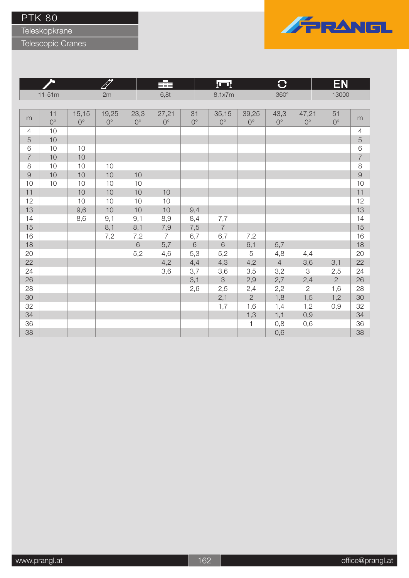Teleskopkrane



|                |                   | hT                   |                      |                     | HEE                  |                   | <u>ru</u>            |                      | G                          |                           | EN                |                |
|----------------|-------------------|----------------------|----------------------|---------------------|----------------------|-------------------|----------------------|----------------------|----------------------------|---------------------------|-------------------|----------------|
|                | $11 - 51m$        |                      | 2m                   |                     | 6,8t                 |                   | 8,1x7m               |                      | $360^\circ$                |                           | 13000             |                |
|                |                   |                      |                      |                     |                      |                   |                      |                      |                            |                           |                   |                |
| m              | 11<br>$0^{\circ}$ | 15,15<br>$0^{\circ}$ | 19,25<br>$0^{\circ}$ | 23,3<br>$0^{\circ}$ | 27,21<br>$0^{\circ}$ | 31<br>$0^{\circ}$ | 35,15<br>$0^{\circ}$ | 39,25<br>$0^{\circ}$ | 43,3<br>$\mathsf{O}^\circ$ | 47,21<br>$0^{\circ}$      | 51<br>$0^{\circ}$ | m              |
| $\overline{4}$ | 10                |                      |                      |                     |                      |                   |                      |                      |                            |                           |                   | $\overline{4}$ |
| $\overline{5}$ | $10$              |                      |                      |                     |                      |                   |                      |                      |                            |                           |                   | 5              |
| $\,$ 6 $\,$    | 10                | $10$                 |                      |                     |                      |                   |                      |                      |                            |                           |                   | $\,6$          |
| $\overline{7}$ | $10$              | $10$                 |                      |                     |                      |                   |                      |                      |                            |                           |                   | $\overline{7}$ |
| $\,8\,$        | 10                | $10$                 | 10                   |                     |                      |                   |                      |                      |                            |                           |                   | $\,8\,$        |
| $\Theta$       | $10$              | $10$                 | $10$                 | $10$                |                      |                   |                      |                      |                            |                           |                   | $\Theta$       |
| $10$           | 10                | $10$                 | $10$                 | $10$                |                      |                   |                      |                      |                            |                           |                   | 10             |
| 11             |                   | $10$                 | $10$                 | $10$                | $10$                 |                   |                      |                      |                            |                           |                   | 11             |
| 12             |                   | $10$                 | $10$                 | $10$                | $10$                 |                   |                      |                      |                            |                           |                   | 12             |
| 13             |                   | 9,6                  | 10                   | 10                  | 10                   | 9,4               |                      |                      |                            |                           |                   | 13             |
| 14             |                   | 8,6                  | 9,1                  | 9,1                 | 8,9                  | 8,4               | 7,7                  |                      |                            |                           |                   | 14             |
| 15             |                   |                      | 8,1                  | 8,1                 | 7,9                  | 7,5               | $\overline{7}$       |                      |                            |                           |                   | 15             |
| 16             |                   |                      | 7,2                  | 7,2                 | $\overline{7}$       | 6,7               | 6,7                  | 7,2                  |                            |                           |                   | 16             |
| 18             |                   |                      |                      | $\,6\,$             | 5,7                  | $\,6\,$           | $\,6\,$              | 6,1                  | 5,7                        |                           |                   | 18             |
| 20             |                   |                      |                      | 5,2                 | 4,6                  | 5,3               | 5,2                  | 5                    | 4,8                        | 4,4                       |                   | 20             |
| 22             |                   |                      |                      |                     | 4,2                  | 4,4               | 4,3                  | 4,2                  | $\overline{4}$             | 3,6                       | 3,1               | 22             |
| 24             |                   |                      |                      |                     | 3,6                  | 3,7               | 3,6                  | 3,5                  | 3,2                        | $\ensuremath{\mathsf{3}}$ | 2,5               | 24             |
| 26             |                   |                      |                      |                     |                      | 3,1               | $\mbox{3}$           | 2,9                  | 2,7                        | 2,4                       | $\overline{2}$    | 26             |
| 28             |                   |                      |                      |                     |                      | 2,6               | 2,5                  | 2,4                  | 2,2                        | $\mathbf{2}$              | 1,6               | 28             |
| 30             |                   |                      |                      |                     |                      |                   | 2,1                  | $\overline{2}$       | 1,8                        | 1,5                       | 1,2               | 30             |
| 32             |                   |                      |                      |                     |                      |                   | 1,7                  | 1,6                  | 1,4                        | 1,2                       | 0,9               | 32             |
| 34             |                   |                      |                      |                     |                      |                   |                      | 1,3                  | 1,1                        | 0,9                       |                   | 34             |
| 36             |                   |                      |                      |                     |                      |                   |                      | $\mathbf{1}$         | 0,8                        | 0,6                       |                   | 36             |
| 38             |                   |                      |                      |                     |                      |                   |                      |                      | 0,6                        |                           |                   | 38             |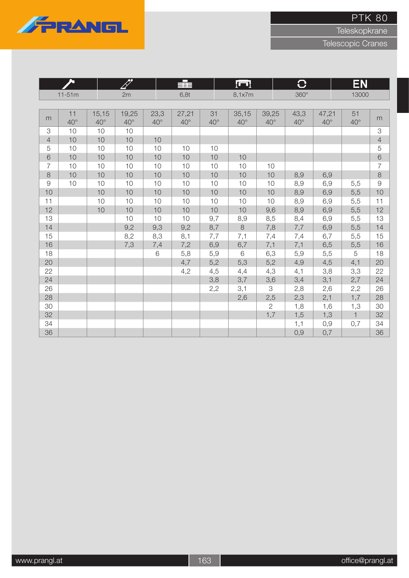

Teleskopkrane

|                |                    |                       |                       |                      | ≢                     |                    | łШ                    |                       | $\overline{C}$       |                       | EN                 |                |
|----------------|--------------------|-----------------------|-----------------------|----------------------|-----------------------|--------------------|-----------------------|-----------------------|----------------------|-----------------------|--------------------|----------------|
|                | $11-51m$           |                       | 2m                    |                      | 6,8t                  |                    | 8,1x7m                |                       | $360^\circ$          |                       | 13000              |                |
|                |                    |                       |                       |                      |                       |                    |                       |                       |                      |                       |                    |                |
| m              | 11<br>$40^{\circ}$ | 15,15<br>$40^{\circ}$ | 19,25<br>$40^{\circ}$ | 23,3<br>$40^{\circ}$ | 27,21<br>$40^{\circ}$ | 31<br>$40^{\circ}$ | 35,15<br>$40^{\circ}$ | 39,25<br>$40^{\circ}$ | 43,3<br>$40^{\circ}$ | 47,21<br>$40^{\circ}$ | 51<br>$40^{\circ}$ | m              |
| 3              | 10                 | 10                    | 10                    |                      |                       |                    |                       |                       |                      |                       |                    | 3              |
| $\overline{4}$ | 10                 | 10                    | 10                    | 10                   |                       |                    |                       |                       |                      |                       |                    | $\overline{4}$ |
| 5              | 10                 | 10                    | 10                    | 10                   | 10                    | 10                 |                       |                       |                      |                       |                    | 5              |
| 6              | 10                 | 10                    | 10                    | 10                   | 10                    | 10                 | 10                    |                       |                      |                       |                    | $\sqrt{6}$     |
| 7              | 10                 | 10                    | 10                    | 10                   | 10                    | 10                 | 10                    | 10                    |                      |                       |                    | $\overline{7}$ |
| 8              | 10                 | 10                    | 10                    | 10                   | 10                    | 10                 | 10                    | 10                    | 8,9                  | 6,9                   |                    | $\,8\,$        |
| $\mathcal{G}$  | 10                 | 10                    | 10                    | 10                   | 10                    | 10                 | 10                    | 10                    | 8,9                  | 6,9                   | 5,5                | $\mathcal{G}$  |
| 10             |                    | 10                    | 10                    | 10                   | 10                    | 10                 | 10                    | 10                    | 8,9                  | 6,9                   | 5,5                | 10             |
| 11             |                    | 10                    | 10                    | 10                   | 10                    | 10                 | 10                    | 10                    | 8,9                  | 6,9                   | 5,5                | 11             |
| 12             |                    | 10                    | 10                    | 10                   | 10                    | 10                 | 10                    | 9,6                   | 8,9                  | 6,9                   | 5,5                | 12             |
| 13             |                    |                       | 10                    | 10                   | 10                    | 9,7                | 8,9                   | 8,5                   | 8,4                  | 6,9                   | 5,5                | 13             |
| 14             |                    |                       | 9,2                   | 9,3                  | 9,2                   | 8,7                | 8                     | 7,8                   | 7,7                  | 6,9                   | 5,5                | 14             |
| 15             |                    |                       | 8,2                   | 8,3                  | 8,1                   | 7,7                | 7,1                   | 7,4                   | 7,4                  | 6,7                   | 5,5                | 15             |
| 16             |                    |                       | 7,3                   | 7,4                  | 7,2                   | 6,9                | 6,7                   | 7,1                   | 7,1                  | 6,5                   | 5,5                | 16             |
| 18             |                    |                       |                       | 6                    | 5,8                   | 5,9                | 6                     | 6,3                   | 5,9                  | 5,5                   | 5                  | 18             |
| 20             |                    |                       |                       |                      | 4,7                   | 5,2                | 5,3                   | 5,2                   | 4,9                  | 4,5                   | 4,1                | 20             |
| 22             |                    |                       |                       |                      | 4,2                   | 4,5                | 4,4                   | 4,3                   | 4,1                  | 3,8                   | 3,3                | 22             |
| 24             |                    |                       |                       |                      |                       | 3,8                | 3,7                   | 3,6                   | 3,4                  | 3,1                   | 2,7                | 24             |
| 26             |                    |                       |                       |                      |                       | 2,2                | 3,1                   | 3                     | 2,8                  | 2,6                   | 2,2                | 26             |
| 28             |                    |                       |                       |                      |                       |                    | 2,6                   | 2,5                   | 2,3                  | 2,1                   | 1,7                | 28             |
| 30             |                    |                       |                       |                      |                       |                    |                       | $\overline{2}$        | 1,8                  | 1,6                   | 1,3                | 30             |
| 32             |                    |                       |                       |                      |                       |                    |                       | 1,7                   | 1,5                  | 1,3                   | $\mathbf{1}$       | 32             |
| 34             |                    |                       |                       |                      |                       |                    |                       |                       | 1,1                  | 0,9                   | 0,7                | 34             |
| 36             |                    |                       |                       |                      |                       |                    |                       |                       | 0,9                  | 0,7                   |                    | 36             |